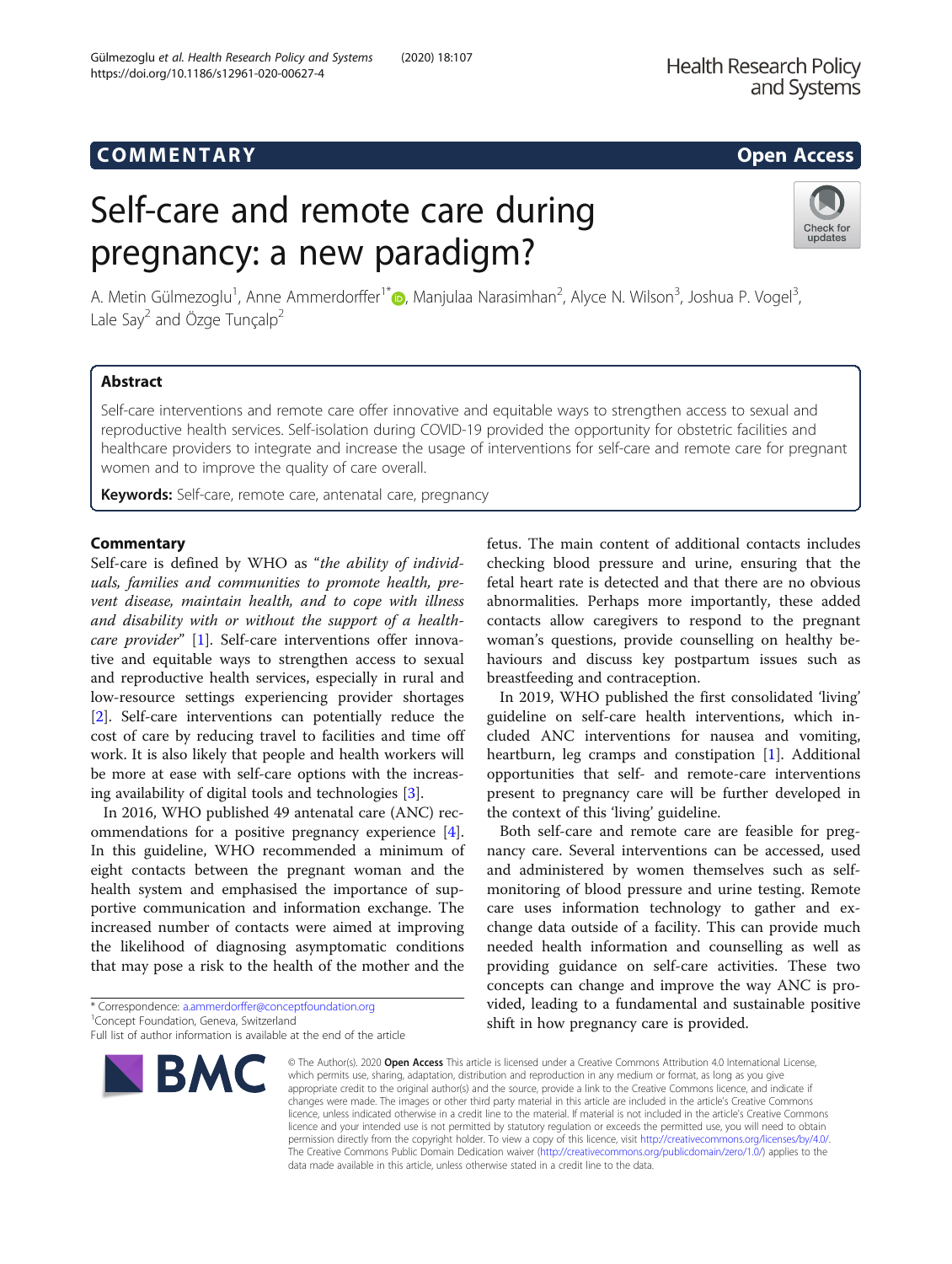# COMM EN TARY Open Access

https://doi.org/10.1186/s12961-020-00627-4

# Self-care and remote care during pregnancy: a new paradigm?

A. Metin Gülmezoglu<sup>1</sup>[,](http://orcid.org/0000-0002-1059-061X) Anne Ammerdorffer<sup>1\*</sup> (**)**, Manjulaa Narasimhan<sup>2</sup>, Alyce N. Wilson<sup>3</sup>, Joshua P. Vogel<sup>3</sup> , Lale Say<sup>2</sup> and Özge Tunçalp<sup>2</sup>

# Abstract

Self-care interventions and remote care offer innovative and equitable ways to strengthen access to sexual and reproductive health services. Self-isolation during COVID-19 provided the opportunity for obstetric facilities and healthcare providers to integrate and increase the usage of interventions for self-care and remote care for pregnant women and to improve the quality of care overall.

Keywords: Self-care, remote care, antenatal care, pregnancy

### **Commentary**

Self-care is defined by WHO as "the ability of individuals, families and communities to promote health, prevent disease, maintain health, and to cope with illness and disability with or without the support of a healthcare provider" [\[1](#page-1-0)]. Self-care interventions offer innovative and equitable ways to strengthen access to sexual and reproductive health services, especially in rural and low-resource settings experiencing provider shortages [[2\]](#page-1-0). Self-care interventions can potentially reduce the cost of care by reducing travel to facilities and time off work. It is also likely that people and health workers will be more at ease with self-care options with the increasing availability of digital tools and technologies [\[3\]](#page-1-0).

In 2016, WHO published 49 antenatal care (ANC) recommendations for a positive pregnancy experience [\[4](#page-1-0)]. In this guideline, WHO recommended a minimum of eight contacts between the pregnant woman and the health system and emphasised the importance of supportive communication and information exchange. The increased number of contacts were aimed at improving the likelihood of diagnosing asymptomatic conditions that may pose a risk to the health of the mother and the

\* Correspondence: [a.ammerdorffer@conceptfoundation.org](mailto:a.ammerdorffer@conceptfoundation.org) <sup>1</sup>

checking blood pressure and urine, ensuring that the fetal heart rate is detected and that there are no obvious abnormalities. Perhaps more importantly, these added contacts allow caregivers to respond to the pregnant woman's questions, provide counselling on healthy behaviours and discuss key postpartum issues such as breastfeeding and contraception. In 2019, WHO published the first consolidated 'living'

fetus. The main content of additional contacts includes

guideline on self-care health interventions, which included ANC interventions for nausea and vomiting, heartburn, leg cramps and constipation [[1](#page-1-0)]. Additional opportunities that self- and remote-care interventions present to pregnancy care will be further developed in the context of this 'living' guideline.

Both self-care and remote care are feasible for pregnancy care. Several interventions can be accessed, used and administered by women themselves such as selfmonitoring of blood pressure and urine testing. Remote care uses information technology to gather and exchange data outside of a facility. This can provide much needed health information and counselling as well as providing guidance on self-care activities. These two concepts can change and improve the way ANC is provided, leading to a fundamental and sustainable positive shift in how pregnancy care is provided.

© The Author(s), 2020 **Open Access** This article is licensed under a Creative Commons Attribution 4.0 International License, which permits use, sharing, adaptation, distribution and reproduction in any medium or format, as long as you give appropriate credit to the original author(s) and the source, provide a link to the Creative Commons licence, and indicate if changes were made. The images or other third party material in this article are included in the article's Creative Commons licence, unless indicated otherwise in a credit line to the material. If material is not included in the article's Creative Commons licence and your intended use is not permitted by statutory regulation or exceeds the permitted use, you will need to obtain permission directly from the copyright holder. To view a copy of this licence, visit [http://creativecommons.org/licenses/by/4.0/.](http://creativecommons.org/licenses/by/4.0/) The Creative Commons Public Domain Dedication waiver [\(http://creativecommons.org/publicdomain/zero/1.0/](http://creativecommons.org/publicdomain/zero/1.0/)) applies to the data made available in this article, unless otherwise stated in a credit line to the data.

Gülmezoglu et al. Health Research Policy and Systems (2020) 18:107





<sup>&</sup>lt;sup>1</sup> Concept Foundation, Geneva, Switzerland

Full list of author information is available at the end of the article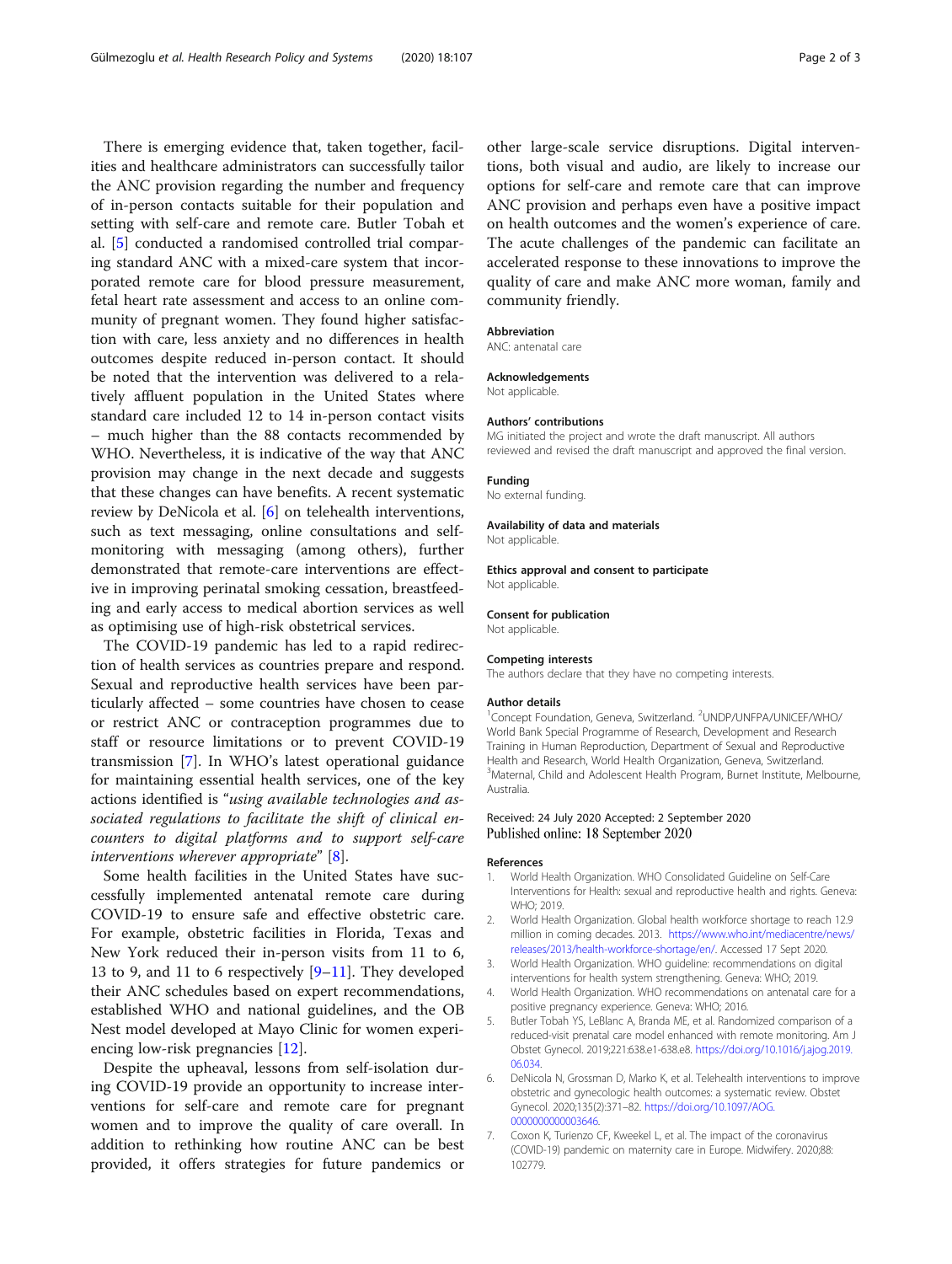<span id="page-1-0"></span>There is emerging evidence that, taken together, facilities and healthcare administrators can successfully tailor the ANC provision regarding the number and frequency of in-person contacts suitable for their population and setting with self-care and remote care. Butler Tobah et al. [5] conducted a randomised controlled trial comparing standard ANC with a mixed-care system that incorporated remote care for blood pressure measurement, fetal heart rate assessment and access to an online community of pregnant women. They found higher satisfaction with care, less anxiety and no differences in health outcomes despite reduced in-person contact. It should be noted that the intervention was delivered to a relatively affluent population in the United States where standard care included 12 to 14 in-person contact visits – much higher than the 88 contacts recommended by WHO. Nevertheless, it is indicative of the way that ANC provision may change in the next decade and suggests that these changes can have benefits. A recent systematic review by DeNicola et al. [6] on telehealth interventions, such as text messaging, online consultations and selfmonitoring with messaging (among others), further demonstrated that remote-care interventions are effective in improving perinatal smoking cessation, breastfeeding and early access to medical abortion services as well as optimising use of high-risk obstetrical services.

The COVID-19 pandemic has led to a rapid redirection of health services as countries prepare and respond. Sexual and reproductive health services have been particularly affected – some countries have chosen to cease or restrict ANC or contraception programmes due to staff or resource limitations or to prevent COVID-19 transmission [7]. In WHO's latest operational guidance for maintaining essential health services, one of the key actions identified is "using available technologies and associated regulations to facilitate the shift of clinical encounters to digital platforms and to support self-care interventions wherever appropriate" [\[8\]](#page-2-0).

Some health facilities in the United States have successfully implemented antenatal remote care during COVID-19 to ensure safe and effective obstetric care. For example, obstetric facilities in Florida, Texas and New York reduced their in-person visits from 11 to 6, 13 to 9, and 11 to 6 respectively [\[9](#page-2-0)–[11](#page-2-0)]. They developed their ANC schedules based on expert recommendations, established WHO and national guidelines, and the OB Nest model developed at Mayo Clinic for women experiencing low-risk pregnancies [[12\]](#page-2-0).

Despite the upheaval, lessons from self-isolation during COVID-19 provide an opportunity to increase interventions for self-care and remote care for pregnant women and to improve the quality of care overall. In addition to rethinking how routine ANC can be best provided, it offers strategies for future pandemics or

other large-scale service disruptions. Digital interventions, both visual and audio, are likely to increase our options for self-care and remote care that can improve ANC provision and perhaps even have a positive impact on health outcomes and the women's experience of care. The acute challenges of the pandemic can facilitate an accelerated response to these innovations to improve the quality of care and make ANC more woman, family and community friendly.

#### Abbreviation

ANC: antenatal care

#### Acknowledgements

Not applicable.

#### Authors' contributions

MG initiated the project and wrote the draft manuscript. All authors reviewed and revised the draft manuscript and approved the final version.

#### Funding

No external funding.

#### Availability of data and materials

Not applicable.

Ethics approval and consent to participate Not applicable.

#### Consent for publication

Not applicable.

#### Competing interests

The authors declare that they have no competing interests.

#### Author details

<sup>1</sup>Concept Foundation, Geneva, Switzerland. <sup>2</sup>UNDP/UNFPA/UNICEF/WHO/ World Bank Special Programme of Research, Development and Research Training in Human Reproduction, Department of Sexual and Reproductive Health and Research, World Health Organization, Geneva, Switzerland. <sup>3</sup>Maternal, Child and Adolescent Health Program, Burnet Institute, Melbourne Australia.

#### Received: 24 July 2020 Accepted: 2 September 2020 Published online: 18 September 2020

#### References

- 1. World Health Organization. WHO Consolidated Guideline on Self-Care Interventions for Health: sexual and reproductive health and rights. Geneva: WHO: 2019
- 2. World Health Organization. Global health workforce shortage to reach 12.9 million in coming decades. 2013. [https://www.who.int/mediacentre/news/](https://www.who.int/mediacentre/news/releases/2013/health-workforce-shortage/en/) [releases/2013/health-workforce-shortage/en/.](https://www.who.int/mediacentre/news/releases/2013/health-workforce-shortage/en/) Accessed 17 Sept 2020.
- 3. World Health Organization. WHO guideline: recommendations on digital interventions for health system strengthening. Geneva: WHO; 2019.
- 4. World Health Organization. WHO recommendations on antenatal care for a positive pregnancy experience. Geneva: WHO; 2016.
- 5. Butler Tobah YS, LeBlanc A, Branda ME, et al. Randomized comparison of a reduced-visit prenatal care model enhanced with remote monitoring. Am J Obstet Gynecol. 2019;221:638.e1-638.e8. [https://doi.org/10.1016/j.ajog.2019.](https://doi.org/10.1016/j.ajog.2019.06.034) [06.034](https://doi.org/10.1016/j.ajog.2019.06.034).
- 6. DeNicola N, Grossman D, Marko K, et al. Telehealth interventions to improve obstetric and gynecologic health outcomes: a systematic review. Obstet Gynecol. 2020;135(2):371–82. [https://doi.org/10.1097/AOG.](https://doi.org/10.1097/AOG.0000000000003646) [0000000000003646](https://doi.org/10.1097/AOG.0000000000003646).
- 7. Coxon K, Turienzo CF, Kweekel L, et al. The impact of the coronavirus (COVID-19) pandemic on maternity care in Europe. Midwifery. 2020;88: 102779.